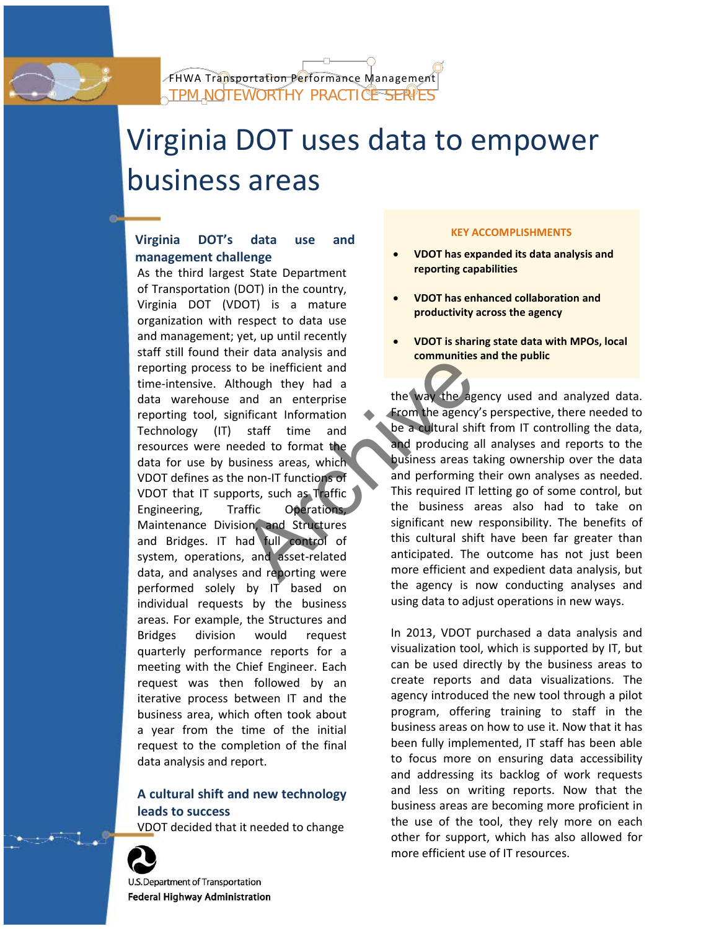# Virginia DOT uses data to empower business areas

# **Virginia DOT's data use and management challenge**

As the third largest State Department of Transportation (DOT) in the country, Virginia DOT (VDOT) is a mature organization with respect to data use and management; yet, up until recently staff still found their data analysis and reporting process to be inefficient and time-intensive. Although they had a data warehouse and an enterprise reporting tool, significant Information Technology (IT) staff time and resources were needed to format the data for use by business areas, which VDOT defines as the non-IT functions of VDOT that IT supports, such as Traffic Engineering, Traffic Operations, Maintenance Division, and Structures and Bridges. IT had full control of system, operations, and asset-related data, and analyses and reporting were performed solely by IT based on individual requests by the business areas. For example, the Structures and Bridges division would request quarterly performance reports for a meeting with the Chief Engineer. Each request was then followed by an iterative process between IT and the business area, which often took about a year from the time of the initial request to the completion of the final data analysis and report. From the agency<br>
to be inefficient and<br>
though they had a<br>
and an enterprise<br>
inficant Information<br>
staff time and<br>
eded to format the<br>
staff time and be a cultural shi<br>
eded to format the<br>
staff time and producing a<br>
staf

# **A cultural shift and new technology leads to success**

VDOT decided that it needed to change



U.S. Department of Transportation Federal Highway Administration

## **KEY ACCOMPLISHMENTS**

- **VDOT has expanded its data analysis and reporting capabilities**
- **VDOT has enhanced collaboration and productivity across the agency**
- **VDOT is sharing state data with MPOs, local communities and the public**

the way the agency used and analyzed data. From the agency's perspective, there needed to be a cultural shift from IT controlling the data, and producing all analyses and reports to the business areas taking ownership over the data and performing their own analyses as needed. This required IT letting go of some control, but the business areas also had to take on significant new responsibility. The benefits of this cultural shift have been far greater than anticipated. The outcome has not just been more efficient and expedient data analysis, but the agency is now conducting analyses and using data to adjust operations in new ways.

In 2013, VDOT purchased a data analysis and visualization tool, which is supported by IT, but can be used directly by the business areas to create reports and data visualizations. The agency introduced the new tool through a pilot program, offering training to staff in the business areas on how to use it. Now that it has been fully implemented, IT staff has been able to focus more on ensuring data accessibility and addressing its backlog of work requests and less on writing reports. Now that the business areas are becoming more proficient in the use of the tool, they rely more on each other for support, which has also allowed for more efficient use of IT resources.